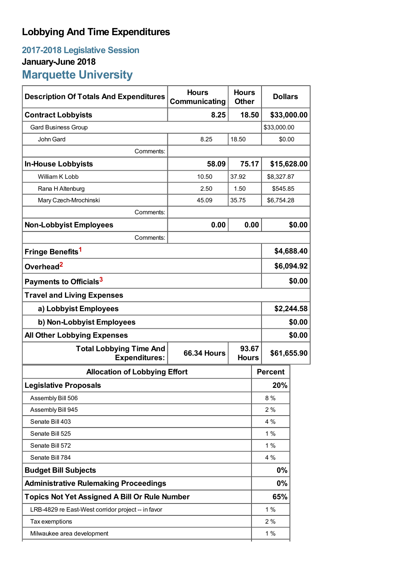## **Lobbying And Time Expenditures**

## **2017-2018 Legislative Session January-June 2018 Marquette University**

| <b>Description Of Totals And Expenditures</b>          | <b>Hours</b><br>Communicating | <b>Hours</b><br><b>Other</b> |                | <b>Dollars</b> |  |
|--------------------------------------------------------|-------------------------------|------------------------------|----------------|----------------|--|
| <b>Contract Lobbyists</b>                              | 8.25                          | 18.50                        | \$33,000.00    |                |  |
| <b>Gard Business Group</b>                             |                               |                              | \$33,000.00    |                |  |
| John Gard                                              | 8.25                          | 18.50                        | \$0.00         |                |  |
| Comments:                                              |                               |                              |                |                |  |
| <b>In-House Lobbyists</b>                              | 58.09                         | 75.17                        |                | \$15,628.00    |  |
| William K Lobb                                         | 10.50                         | 37.92                        |                | \$8,327.87     |  |
| Rana H Altenburg                                       | 2.50                          | 1.50                         | \$545.85       |                |  |
| Mary Czech-Mrochinski                                  | 45.09                         | 35.75                        | \$6,754.28     |                |  |
| Comments:                                              |                               |                              |                |                |  |
| <b>Non-Lobbyist Employees</b>                          | 0.00                          | 0.00                         |                | \$0.00         |  |
| Comments:                                              |                               |                              |                |                |  |
| Fringe Benefits <sup>1</sup>                           |                               |                              | \$4,688.40     |                |  |
| Overhead <sup>2</sup>                                  |                               |                              | \$6,094.92     |                |  |
| Payments to Officials <sup>3</sup>                     |                               |                              |                | \$0.00         |  |
| <b>Travel and Living Expenses</b>                      |                               |                              |                |                |  |
| a) Lobbyist Employees                                  |                               |                              |                | \$2,244.58     |  |
| b) Non-Lobbyist Employees                              |                               |                              | \$0.00         |                |  |
| <b>All Other Lobbying Expenses</b>                     |                               |                              | \$0.00         |                |  |
| <b>Total Lobbying Time And</b><br><b>Expenditures:</b> | <b>66.34 Hours</b>            | 93.67<br><b>Hours</b>        | \$61,655.90    |                |  |
| <b>Allocation of Lobbying Effort</b>                   |                               |                              | <b>Percent</b> |                |  |
| <b>Legislative Proposals</b>                           |                               |                              | 20%            |                |  |
| Assembly Bill 506                                      |                               |                              | 8%             |                |  |
| Assembly Bill 945                                      |                               |                              | 2%             |                |  |
| Senate Bill 403                                        |                               |                              | 4 %            |                |  |
| Senate Bill 525                                        |                               |                              | 1%             |                |  |
| Senate Bill 572                                        |                               |                              | 1%             |                |  |
| Senate Bill 784                                        |                               |                              | 4 %            |                |  |
| <b>Budget Bill Subjects</b>                            |                               |                              | 0%             |                |  |
| <b>Administrative Rulemaking Proceedings</b>           |                               |                              | 0%             |                |  |
| <b>Topics Not Yet Assigned A Bill Or Rule Number</b>   |                               |                              | 65%            |                |  |
| LRB-4829 re East-West corridor project -- in favor     |                               |                              | 1%             |                |  |
| Tax exemptions                                         |                               |                              | 2%             |                |  |
| Milwaukee area development                             |                               |                              | $1\%$          |                |  |